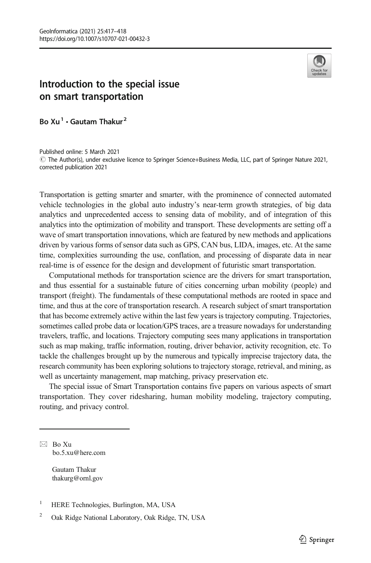

## Introduction to the special issue on smart transportation

Bo  $Xu^1 \cdot$  Gautam Thakur<sup>2</sup>

Published online: 5 March 2021  $\degree$  The Author(s), under exclusive licence to Springer Science+Business Media, LLC, part of Springer Nature 2021, corrected publication 2021

Transportation is getting smarter and smarter, with the prominence of connected automated vehicle technologies in the global auto industry's near-term growth strategies, of big data analytics and unprecedented access to sensing data of mobility, and of integration of this analytics into the optimization of mobility and transport. These developments are setting off a wave of smart transportation innovations, which are featured by new methods and applications driven by various forms of sensor data such as GPS, CAN bus, LIDA, images, etc. At the same time, complexities surrounding the use, conflation, and processing of disparate data in near real-time is of essence for the design and development of futuristic smart transportation.

Computational methods for transportation science are the drivers for smart transportation, and thus essential for a sustainable future of cities concerning urban mobility (people) and transport (freight). The fundamentals of these computational methods are rooted in space and time, and thus at the core of transportation research. A research subject of smart transportation that has become extremely active within the last few years is trajectory computing. Trajectories, sometimes called probe data or location/GPS traces, are a treasure nowadays for understanding travelers, traffic, and locations. Trajectory computing sees many applications in transportation such as map making, traffic information, routing, driver behavior, activity recognition, etc. To tackle the challenges brought up by the numerous and typically imprecise trajectory data, the research community has been exploring solutions to trajectory storage, retrieval, and mining, as well as uncertainty management, map matching, privacy preservation etc.

The special issue of Smart Transportation contains five papers on various aspects of smart transportation. They cover ridesharing, human mobility modeling, trajectory computing, routing, and privacy control.

 $\boxtimes$  Bo Xu [bo.5.xu@here.com](mailto:bo.5.xu@here.com)

> Gautam Thakur thakurg@ornl.gov

<sup>&</sup>lt;sup>1</sup> HERE Technologies, Burlington, MA, USA

<sup>2</sup> Oak Ridge National Laboratory, Oak Ridge, TN, USA